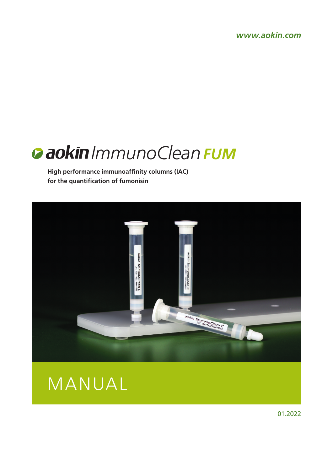*www.aokin.com*



**High performance immunoaffinity columns (IAC) for the quantification of fumonisin**





01.2022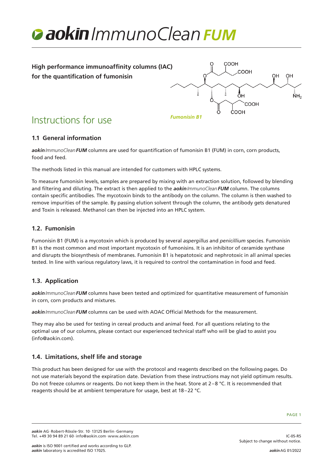



# **1.1 General information**

*aokinImmunoCleanFUM* columns are used for quantification of fumonisin B1 (FUM) in corn, corn products, food and feed.

The methods listed in this manual are intended for customers with HPLC systems.

To measure fumonisin levels, samples are prepared by mixing with an extraction solution, followed by blending and filtering and diluting. The extract is then applied to the *aokinImmunoCleanFUM* column. The columns contain specific antibodies. The mycotoxin binds to the antibody on the column. The column is then washed to remove impurities of the sample. By passing elution solvent through the column, the antibody gets denatured and Toxin is released. Methanol can then be injected into an HPLC system.

#### **1.2. Fumonisin**

Fumonisin B1 (FUM) is a mycotoxin which is produced by several *aspergillus* and *penicillium* species. Fumonisin B1 is the most common and most important mycotoxin of fumonisins. It is an inhibitor of ceramide synthase and disrupts the biosynthesis of membranes. Fumonisin B1 is hepatotoxic and nephrotoxic in all animal species tested. In line with various regulatory laws, it is required to control the contamination in food and feed.

#### **1.3. Application**

*aokinImmunoCleanFUM* columns have been tested and optimized for quantitative measurement of fumonisin in corn, corn products and mixtures.

*aokinImmunoCleanFUM* columns can be used with AOAC Official Methods for the measurement.

They may also be used for testing in cereal products and animal feed. For all questions relating to the optimal use of our columns, please contact our experienced technical staff who will be glad to assist you (info@aokin.com).

#### **1.4. Limitations, shelf life and storage**

This product has been designed for use with the protocol and reagents described on the following pages. Do not use materials beyond the expiration date. Deviation from these instructions may not yield optimum results. Do not freeze columns or reagents. Do not keep them in the heat. Store at 2–8 °C. It is recommended that reagents should be at ambient temperature for usage, best at 18–22 °C.

IC-05-R5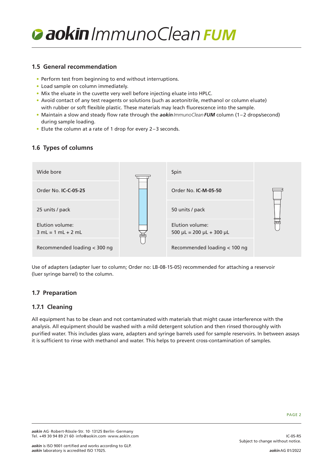

#### **1.5 General recommendation**

- Perform test from beginning to end without interruptions.
- Load sample on column immediately.
- Mix the eluate in the cuvette very well before injecting eluate into HPLC.
- Avoid contact of any test reagents or solutions (such as acetonitrile, methanol or column eluate) with rubber or soft flexible plastic. These materials may leach fluorescence into the sample.
- Maintain a slow and steady flow rate through the *aokinImmunoCleanFUM* column (1–2 drops/second) during sample loading.
- Elute the column at a rate of 1 drop for every 2–3 seconds.

# **1.6 Types of columns**



Use of adapters (adapter luer to column; Order no: LB-08-15-05) recommended for attaching a reservoir (luer syringe barrel) to the column.

## **1.7 Preparation**

#### **1.7.1 Cleaning**

All equipment has to be clean and not contaminated with materials that might cause interference with the analysis. All equipment should be washed with a mild detergent solution and then rinsed thoroughly with purified water. This includes glass ware, adapters and syringe barrels used for sample reservoirs. In between assays it is sufficient to rinse with methanol and water. This helps to prevent cross-contamination of samples.

IC-05-R5

Subject to change without notice.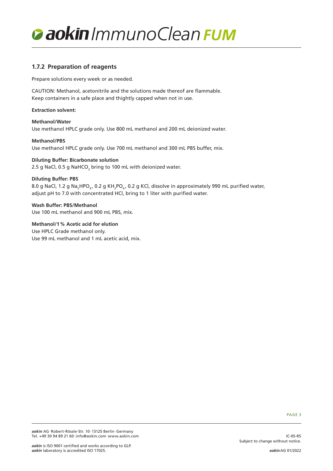

## **1.7.2 Preparation of reagents**

Prepare solutions every week or as needed.

CAUTION: Methanol, acetonitrile and the solutions made thereof are flammable. Keep containers in a safe place and thightly capped when not in use.

#### **Extraction solvent:**

**Methanol/Water** Use methanol HPLC grade only. Use 800 mL methanol and 200 mL deionized water.

**Methanol/PBS** Use methanol HPLC grade only. Use 700 mL methanol and 300 mL PBS buffer, mix.

#### **Diluting Buffer: Bicarbonate solution**

2.5 g NaCl, 0.5 g NaHCO $_{_3}$  bring to 100 mL with deionized water.

#### **Diluting Buffer: PBS**

8.0 g NaCl, 1.2 g Na<sub>2</sub>HPO<sub>4</sub>, 0.2 g KH<sub>2</sub>PO<sub>4</sub>, 0.2 g KCl, dissolve in approximately 990 mL purified water, adjust pH to 7.0 with concentrated HCl, bring to 1 liter with purified water.

**Wash Buffer: PBS/Methanol** Use 100 mL methanol and 900 mL PBS, mix.

**Methanol/1% Acetic acid for elution** Use HPLC Grade methanol only. Use 99 mL methanol and 1 mL acetic acid, mix.

PAGE 3

IC-05-R5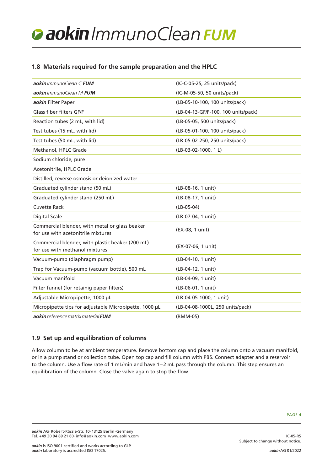# **1.8 Materials required for the sample preparation and the HPLC**

| aokin ImmunoClean C FUM                                                              | (IC-C-05-25, 25 units/pack)         |
|--------------------------------------------------------------------------------------|-------------------------------------|
| aokin ImmunoClean M FUM                                                              | (IC-M-05-50, 50 units/pack)         |
| aokin Filter Paper                                                                   | (LB-05-10-100, 100 units/pack)      |
| Glass fiber filters GF/F                                                             | (LB-04-13-GF/F-100, 100 units/pack) |
| Reaction tubes (2 mL, with lid)                                                      | (LB-05-05, 500 units/pack)          |
| Test tubes (15 mL, with lid)                                                         | (LB-05-01-100, 100 units/pack)      |
| Test tubes (50 mL, with lid)                                                         | (LB-05-02-250, 250 units/pack)      |
| Methanol, HPLC Grade                                                                 | (LB-03-02-1000, 1L)                 |
| Sodium chloride, pure                                                                |                                     |
| Acetonitrile, HPLC Grade                                                             |                                     |
| Distilled, reverse osmosis or deionized water                                        |                                     |
| Graduated cylinder stand (50 mL)                                                     | (LB-08-16, 1 unit)                  |
| Graduated cylinder stand (250 mL)                                                    | (LB-08-17, 1 unit)                  |
| <b>Cuvette Rack</b>                                                                  | $(LB-05-04)$                        |
| <b>Digital Scale</b>                                                                 | (LB-07-04, 1 unit)                  |
| Commercial blender, with metal or glass beaker<br>for use with acetonitrile mixtures | (EX-08, 1 unit)                     |
| Commercial blender, with plastic beaker (200 mL)<br>for use with methanol mixtures   | (EX-07-06, 1 unit)                  |
| Vacuum-pump (diaphragm pump)                                                         | (LB-04-10, 1 unit)                  |
| Trap for Vacuum-pump (vacuum bottle), 500 mL                                         | (LB-04-12, 1 unit)                  |
| Vacuum manifold                                                                      | (LB-04-09, 1 unit)                  |
| Filter funnel (for retainig paper filters)                                           | (LB-06-01, 1 unit)                  |
| Adjustable Micropipette, 1000 µL                                                     | (LB-04-05-1000, 1 unit)             |
| Micropipette tips for adjustable Micropipette, 1000 µL                               | (LB-04-08-1000L, 250 units/pack)    |
| aokin reference matrix material FUM                                                  | (RMM-05)                            |

# **1.9 Set up and equilibration of columns**

Allow column to be at ambient temperature. Remove bottom cap and place the column onto a vacuum manifold, or in a pump stand or collection tube. Open top cap and fill column with PBS. Connect adapter and a reservoir to the column. Use a flow rate of 1 mL/min and have 1–2 mL pass through the column. This step ensures an equilibration of the column. Close the valve again to stop the flow.

IC-05-R5

Subject to change without notice.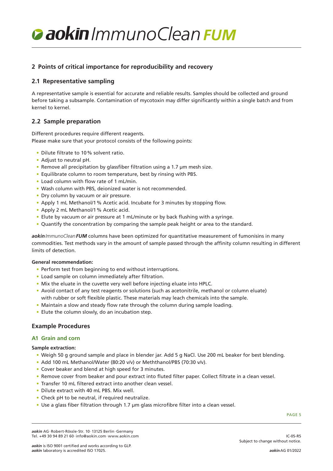## **2 Points of critical importance for reproducibility and recovery**

#### **2.1 Representative sampling**

A representative sample is essential for accurate and reliable results. Samples should be collected and ground before taking a subsample. Contamination of mycotoxin may differ significantly within a single batch and from kernel to kernel.

## **2.2 Sample preparation**

Different procedures require different reagents. Please make sure that your protocol consists of the following points:

- Dilute filtrate to 10% solvent ratio.
- Adjust to neutral pH.
- Remove all precipitation by glassfiber filtration using a 1.7 µm mesh size.
- Equilibrate column to room temperature, best by rinsing with PBS.
- Load column with flow rate of 1 mL/min.
- Wash column with PBS, deionized water is not recommended.
- Dry column by vacuum or air pressure.
- Apply 1 mL Methanol/1% Acetic acid. Incubate for 3 minutes by stopping flow.
- Apply 2 mL Methanol/1% Acetic acid.
- Elute by vacuum or air pressure at 1 mL/minute or by back flushing with a syringe.
- Quantify the concentration by comparing the sample peak height or area to the standard.

*aokinImmunoCleanFUM* columns have been optimized for quantitative measurement of fumonisins in many commodities. Test methods vary in the amount of sample passed through the affinity column resulting in different limits of detection.

#### **General recommendation:**

- Perform test from beginning to end without interruptions.
- Load sample on column immediately after filtration.
- Mix the eluate in the cuvette very well before injecting eluate into HPLC.
- Avoid contact of any test reagents or solutions (such as acetonitrile, methanol or column eluate) with rubber or soft flexible plastic. These materials may leach chemicals into the sample.
- Maintain a slow and steady flow rate through the column during sample loading.
- Elute the column slowly, do an incubation step.

#### **Example Procedures**

#### **A1 Grain and corn**

#### **Sample extraction:**

- Weigh 50 g ground sample and place in blender jar. Add 5 g NaCl. Use 200 mL beaker for best blending.
- Add 100 mL Methanol/Water (80:20 v/v) or Meththanol/PBS (70:30 v/v).
- Cover beaker and blend at high speed for 3 minutes.
- Remove cover from beaker and pour extract into fluted filter paper. Collect filtrate in a clean vessel.
- Transfer 10 mL filtered extract into another clean vessel.
- Dilute extract with 40 mL PBS. Mix well.
- Check pH to be neutral, if required neutralize.
- Use a glass fiber filtration through 1.7 µm glass microfibre filter into a clean vessel.

PAGE 5

IC-05-R5

*aokin* AG·Robert-Rössle-Str. 10·13125 Berlin·Germany Tel. +49 30 94 89 21 60·info@aokin.com·www.aokin.com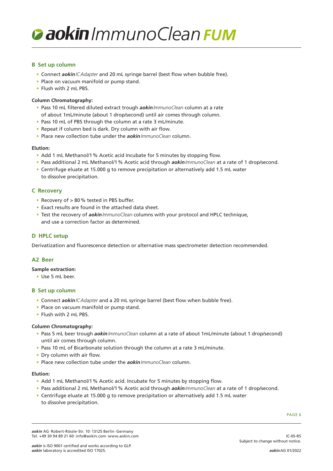#### **B Set up column**

- Connect *aokinICAdapter* and 20 mL syringe barrel (best flow when bubble free).
- Place on vacuum manifold or pump stand.
- Flush with 2 mL PBS.

#### **Column Chromatography:**

- Pass 10 mL filtered diluted extract trough *aokinImmunoClean* column at a rate of about 1mL/minute (about 1 drop/second) until air comes through column.
- Pass 10 mL of PBS through the column at a rate 3 mL/minute.
- Repeat if column bed is dark. Dry column with air flow.
- Place new collection tube under the *aokinImmunoClean* column.

#### **Elution:**

- Add 1 mL Methanol/1% Acetic acid Incubate for 5 minutes by stopping flow.
- Pass additional 2 mL Methanol/1% Acetic acid through *aokinImmunoClean* at a rate of 1 drop/second.
- Centrifuge eluate at 15.000 g to remove precipitation or alternatively add 1.5 mL water to dissolve precipitation.

#### **C Recovery**

- Recovery of > 80% tested in PBS buffer.
- Exact results are found in the attached data sheet.
- Test the recovery of *aokinImmunoClean* columns with your protocol and HPLC technique, and use a correction factor as determined.

#### **D HPLC setup**

Derivatization and fluorescence detection or alternative mass spectrometer detection recommended.

#### **A2 Beer**

#### **Sample extraction:**

• Use 5 mL beer.

#### **B Set up column**

- Connect *aokinICAdapter* and a 20 mL syringe barrel (best flow when bubble free).
- Place on vacuum manifold or pump stand.
- Flush with 2 mL PBS.

#### **Column Chromatography:**

- Pass 5 mL beer trough *aokinImmunoClean* column at a rate of about 1mL/minute (about 1 drop/second) until air comes through column.
- Pass 10 mL of Bicarbonate solution through the column at a rate 3 mL/minute.
- Dry column with air flow.
- Place new collection tube under the *aokinImmunoClean* column.

#### **Elution:**

- Add 1 mL Methanol/1% Acetic acid. Incubate for 5 minutes by stopping flow.
- Pass additional 2 mL Methanol/1% Acetic acid through *aokinImmunoClean* at a rate of 1 drop/second.
- Centrifuge eluate at 15.000 g to remove precipitation or alternatively add 1.5 mL water to dissolve precipitation.

PAGE 6

IC-05-R5

*aokin* AG·Robert-Rössle-Str. 10·13125 Berlin·Germany Tel. +49 30 94 89 21 60·info@aokin.com·www.aokin.com